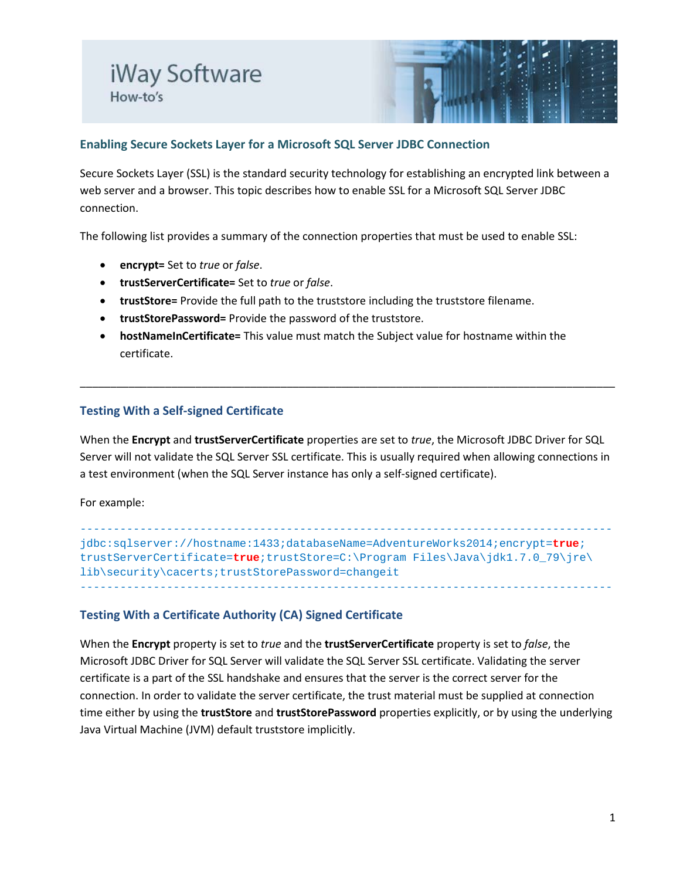# iWay Software How-to's



## **Enabling Secure Sockets Layer for a Microsoft SQL Server JDBC Connection**

Secure Sockets Layer (SSL) is the standard security technology for establishing an encrypted link between a web server and a browser. This topic describes how to enable SSL for a Microsoft SQL Server JDBC connection.

The following list provides a summary of the connection properties that must be used to enable SSL:

- **encrypt=** Set to *true* or *false*.
- **trustServerCertificate=** Set to *true* or *false*.
- **trustStore=** Provide the full path to the truststore including the truststore filename.
- **trustStorePassword=** Provide the password of the truststore.
- **hostNameInCertificate=** This value must match the Subject value for hostname within the certificate.

### **Testing With a Self-signed Certificate**

When the **Encrypt** and **trustServerCertificate** properties are set to *true*, the Microsoft JDBC Driver for SQL Server will not validate the SQL Server SSL certificate. This is usually required when allowing connections in a test environment (when the SQL Server instance has only a self-signed certificate).

\_\_\_\_\_\_\_\_\_\_\_\_\_\_\_\_\_\_\_\_\_\_\_\_\_\_\_\_\_\_\_\_\_\_\_\_\_\_\_\_\_\_\_\_\_\_\_\_\_\_\_\_\_\_\_\_\_\_\_\_\_\_\_\_\_\_\_\_\_\_\_\_\_\_\_\_\_\_\_\_\_\_\_\_\_\_\_\_

For example:

------------------------------------------------------------------------------- jdbc:sqlserver://hostname:1433;databaseName=AdventureWorks2014;encrypt=**true**; trustServerCertificate=**true**;trustStore=C:\Program Files\Java\jdk1.7.0\_79\jre\ lib\security\cacerts;trustStorePassword=changeit --------------------------------------------------------------------------------

### **Testing With a Certificate Authority (CA) Signed Certificate**

When the **Encrypt** property is set to *true* and the **trustServerCertificate** property is set to *false*, the Microsoft JDBC Driver for SQL Server will validate the SQL Server SSL certificate. Validating the server certificate is a part of the SSL handshake and ensures that the server is the correct server for the connection. In order to validate the server certificate, the trust material must be supplied at connection time either by using the **trustStore** and **trustStorePassword** properties explicitly, or by using the underlying Java Virtual Machine (JVM) default truststore implicitly.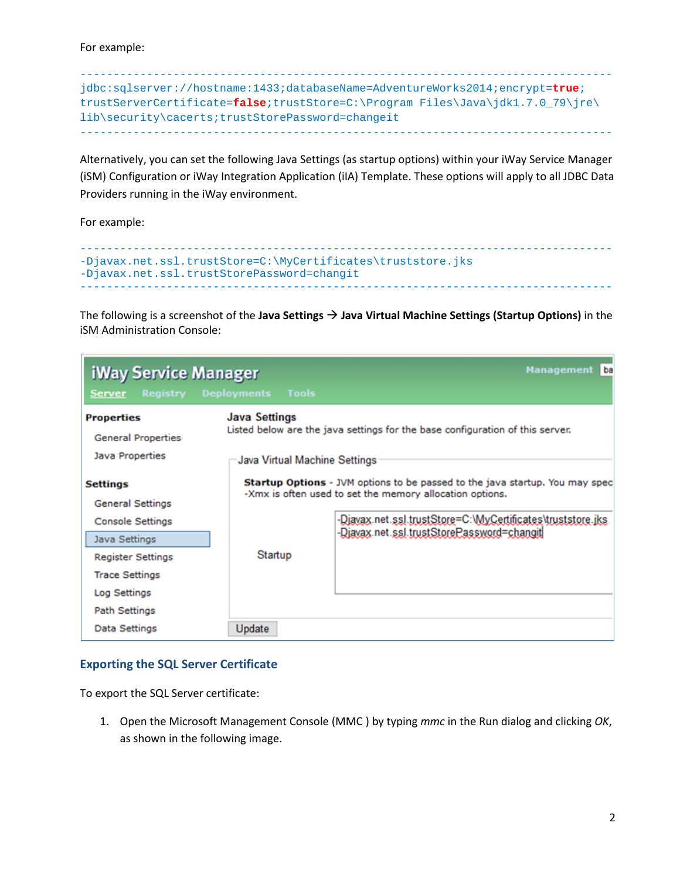For example:

```
--------------------------------------------------------------------------------
jdbc:sqlserver://hostname:1433;databaseName=AdventureWorks2014;encrypt=true;
trustServerCertificate=false;trustStore=C:\Program Files\Java\jdk1.7.0_79\jre\
lib\security\cacerts;trustStorePassword=changeit
--------------------------------------------------------------------------------
```
Alternatively, you can set the following Java Settings (as startup options) within your iWay Service Manager (iSM) Configuration or iWay Integration Application (iIA) Template. These options will apply to all JDBC Data Providers running in the iWay environment.

For example:

```
--------------------------------------------------------------------------------
-Djavax.net.ssl.trustStore=C:\MyCertificates\truststore.jks 
-Djavax.net.ssl.trustStorePassword=changit
--------------------------------------------------------------------------------
```
The following is a screenshot of the **Java Settings Java Virtual Machine Settings (Startup Options)** in the iSM Administration Console:

| <b>iWay Service Manager</b>                    |                                    | ba<br><b>Management</b>                                                             |  |  |  |  |
|------------------------------------------------|------------------------------------|-------------------------------------------------------------------------------------|--|--|--|--|
| <b>Registry</b><br><b>Server</b>               | <b>Tools</b><br><b>Deployments</b> |                                                                                     |  |  |  |  |
| <b>Properties</b><br><b>General Properties</b> | <b>Java Settings</b>               | Listed below are the java settings for the base configuration of this server.       |  |  |  |  |
| Java Properties                                |                                    | Java Virtual Machine Settings                                                       |  |  |  |  |
| Settings                                       |                                    | <b>Startup Options</b> - JVM options to be passed to the java startup. You may spec |  |  |  |  |
| <b>General Settings</b>                        |                                    | -Xmx is often used to set the memory allocation options.                            |  |  |  |  |
| Console Settings                               |                                    | -Diavax.net.ssl.trustStore=C:\MyCertificates\truststore.iks                         |  |  |  |  |
| Java Settings                                  |                                    | -Diavax.net.ssl.trustStorePassword=changit                                          |  |  |  |  |
| <b>Register Settings</b>                       | Startup                            |                                                                                     |  |  |  |  |
| <b>Trace Settings</b>                          |                                    |                                                                                     |  |  |  |  |
| Log Settings                                   |                                    |                                                                                     |  |  |  |  |
| <b>Path Settings</b>                           |                                    |                                                                                     |  |  |  |  |
| Data Settings                                  | Update                             |                                                                                     |  |  |  |  |

### **Exporting the SQL Server Certificate**

To export the SQL Server certificate:

1. Open the Microsoft Management Console (MMC ) by typing *mmc* in the Run dialog and clicking *OK*, as shown in the following image.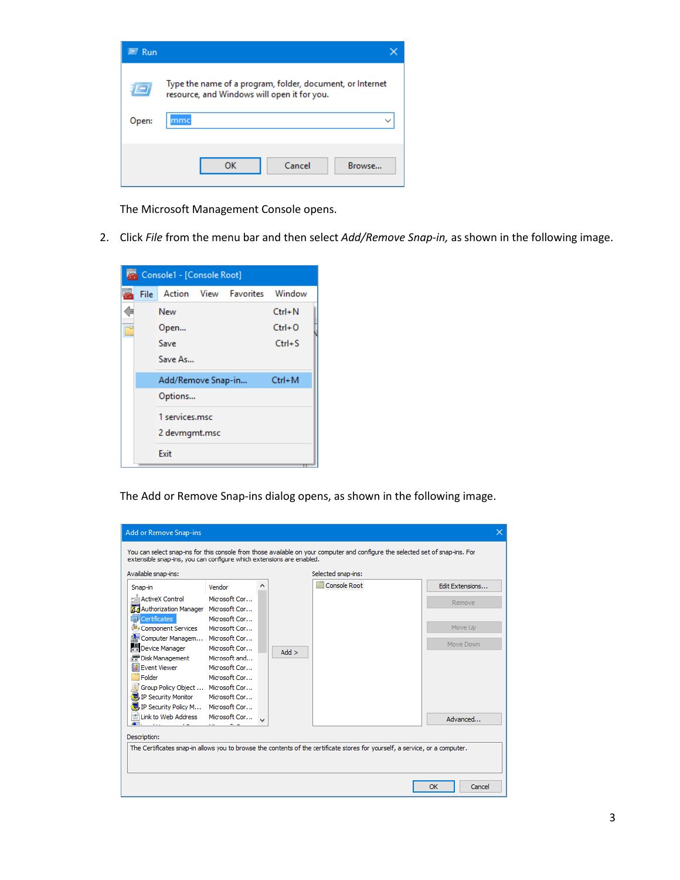| Run   |                                                                                                          |
|-------|----------------------------------------------------------------------------------------------------------|
|       | Type the name of a program, folder, document, or internet<br>resource, and Windows will open it for you. |
| Open: |                                                                                                          |
|       |                                                                                                          |
|       | OK<br>Cancel<br>Browse                                                                                   |

The Microsoft Management Console opens.

2. Click *File* from the menu bar and then select *Add/Remove Snap-in,* as shown in the following image.



The Add or Remove Snap-ins dialog opens, as shown in the following image.

| <b>Add or Remove Snap-ins</b>                                                                                                                                                                          |               |  |                     | ×               |
|--------------------------------------------------------------------------------------------------------------------------------------------------------------------------------------------------------|---------------|--|---------------------|-----------------|
| You can select snap-ins for this console from those available on your computer and configure the selected set of snap-ins. For<br>extensible snap-ins, you can configure which extensions are enabled. |               |  |                     |                 |
| Available snap-ins:                                                                                                                                                                                    |               |  | Selected snap-ins:  |                 |
| Snap-in                                                                                                                                                                                                | Vendor        |  | <b>Console Root</b> | Edit Extensions |
| <b>ActiveX Control</b>                                                                                                                                                                                 | Microsoft Cor |  |                     | Remove          |
| Authorization Manager Microsoft Cor                                                                                                                                                                    |               |  |                     |                 |
| 司 Certificates                                                                                                                                                                                         | Microsoft Cor |  |                     |                 |
| Component Services                                                                                                                                                                                     | Microsoft Cor |  |                     | Move Up         |
| Computer Managem Microsoft Cor                                                                                                                                                                         |               |  |                     | Move Down       |
| <b>No Device Manager</b>                                                                                                                                                                               | Microsoft Cor |  | $Add$ >             |                 |
| <b>PP</b> Disk Management                                                                                                                                                                              | Microsoft and |  |                     |                 |
| <b>I Event Viewer</b>                                                                                                                                                                                  | Microsoft Cor |  |                     |                 |
| Folder                                                                                                                                                                                                 | Microsoft Cor |  |                     |                 |
| Group Policy Object  Microsoft Cor                                                                                                                                                                     |               |  |                     |                 |
| 恩 IP Security Monitor                                                                                                                                                                                  | Microsoft Cor |  |                     |                 |
| 是 IP Security Policy M Microsoft Cor                                                                                                                                                                   |               |  |                     |                 |
| $\left \stackrel{\scriptscriptstyle (B)}{=}\right $ Link to Web Address Microsoft Cor                                                                                                                  |               |  |                     | Advanced        |
|                                                                                                                                                                                                        |               |  |                     |                 |
| Description:                                                                                                                                                                                           |               |  |                     |                 |
| The Certificates snap-in allows you to browse the contents of the certificate stores for yourself, a service, or a computer.                                                                           |               |  |                     |                 |
|                                                                                                                                                                                                        |               |  |                     |                 |
|                                                                                                                                                                                                        |               |  |                     |                 |
|                                                                                                                                                                                                        |               |  |                     |                 |
|                                                                                                                                                                                                        |               |  |                     | Cancel<br>OK    |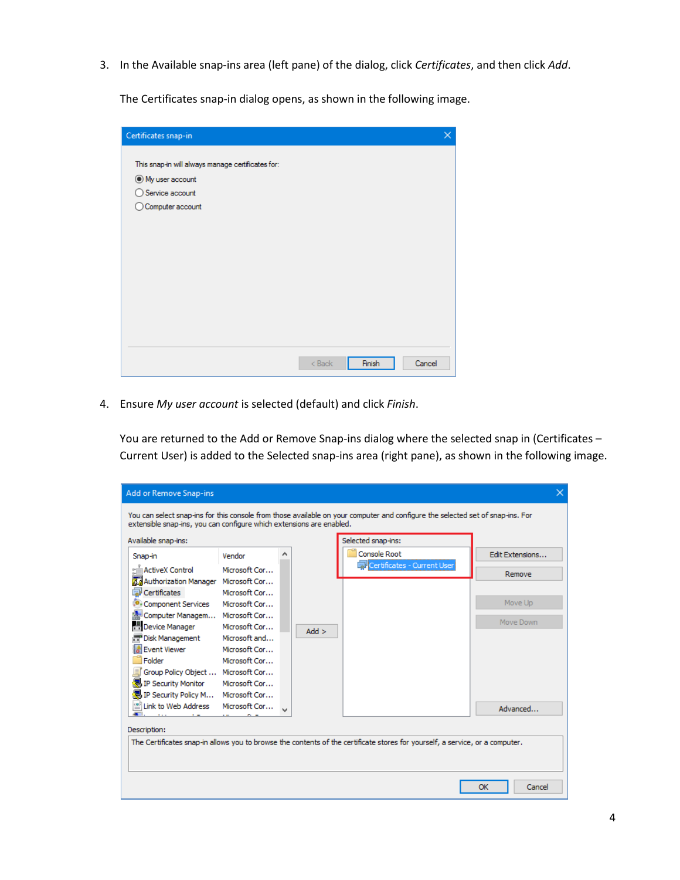3. In the Available snap-ins area (left pane) of the dialog, click *Certificates*, and then click *Add*.

The Certificates snap-in dialog opens, as shown in the following image.

| Certificates snap-in                              | × |
|---------------------------------------------------|---|
|                                                   |   |
| This snap-in will always manage certificates for: |   |
| ◉ My user account                                 |   |
| ◯ Service account                                 |   |
| ◯ Computer account                                |   |
|                                                   |   |
|                                                   |   |
|                                                   |   |
|                                                   |   |
|                                                   |   |
|                                                   |   |
|                                                   |   |
|                                                   |   |
|                                                   |   |
|                                                   |   |
|                                                   |   |
| Finish<br>Cancel<br>$Back$                        |   |

4. Ensure *My user account* is selected (default) and click *Finish*.

You are returned to the Add or Remove Snap-ins dialog where the selected snap in (Certificates – Current User) is added to the Selected snap-ins area (right pane), as shown in the following image.

| Add or Remove Snap-ins                                                                                                                                                                                 |               |  |         |                             | $\times$        |
|--------------------------------------------------------------------------------------------------------------------------------------------------------------------------------------------------------|---------------|--|---------|-----------------------------|-----------------|
| You can select snap-ins for this console from those available on your computer and configure the selected set of snap-ins. For<br>extensible snap-ins, you can configure which extensions are enabled. |               |  |         |                             |                 |
| Available snap-ins:                                                                                                                                                                                    |               |  |         | Selected snap-ins:          |                 |
| Snap-in                                                                                                                                                                                                | Vendor        |  |         | Console Root                | Edit Extensions |
| ActiveX Control                                                                                                                                                                                        | Microsoft Cor |  |         | Certificates - Current User |                 |
| Authorization Manager Microsoft Cor                                                                                                                                                                    |               |  |         |                             | Remove          |
| Certificates                                                                                                                                                                                           | Microsoft Cor |  |         |                             |                 |
| Component Services                                                                                                                                                                                     | Microsoft Cor |  |         |                             | Move Up         |
| Computer Managem Microsoft Cor                                                                                                                                                                         |               |  |         |                             |                 |
| H Device Manager                                                                                                                                                                                       | Microsoft Cor |  | $Add$ > |                             | Move Down       |
| <b>T</b> Disk Management                                                                                                                                                                               | Microsoft and |  |         |                             |                 |
| <b>I Event Viewer</b>                                                                                                                                                                                  | Microsoft Cor |  |         |                             |                 |
| Folder                                                                                                                                                                                                 | Microsoft Cor |  |         |                             |                 |
| lif Group Policy Object  Microsoft Cor                                                                                                                                                                 |               |  |         |                             |                 |
| 恩 IP Security Monitor                                                                                                                                                                                  | Microsoft Cor |  |         |                             |                 |
| <mark>、</mark> IP Security Policy M Microsoft Cor                                                                                                                                                      |               |  |         |                             |                 |
| <sup>1</sup> Link to Web Address Microsoft Cor                                                                                                                                                         |               |  |         |                             | Advanced        |
|                                                                                                                                                                                                        |               |  |         |                             |                 |
| Description:                                                                                                                                                                                           |               |  |         |                             |                 |
| The Certificates snap-in allows you to browse the contents of the certificate stores for yourself, a service, or a computer.                                                                           |               |  |         |                             |                 |
|                                                                                                                                                                                                        |               |  |         |                             |                 |
|                                                                                                                                                                                                        |               |  |         |                             |                 |
|                                                                                                                                                                                                        |               |  |         |                             | Cancel<br>OK    |
|                                                                                                                                                                                                        |               |  |         |                             |                 |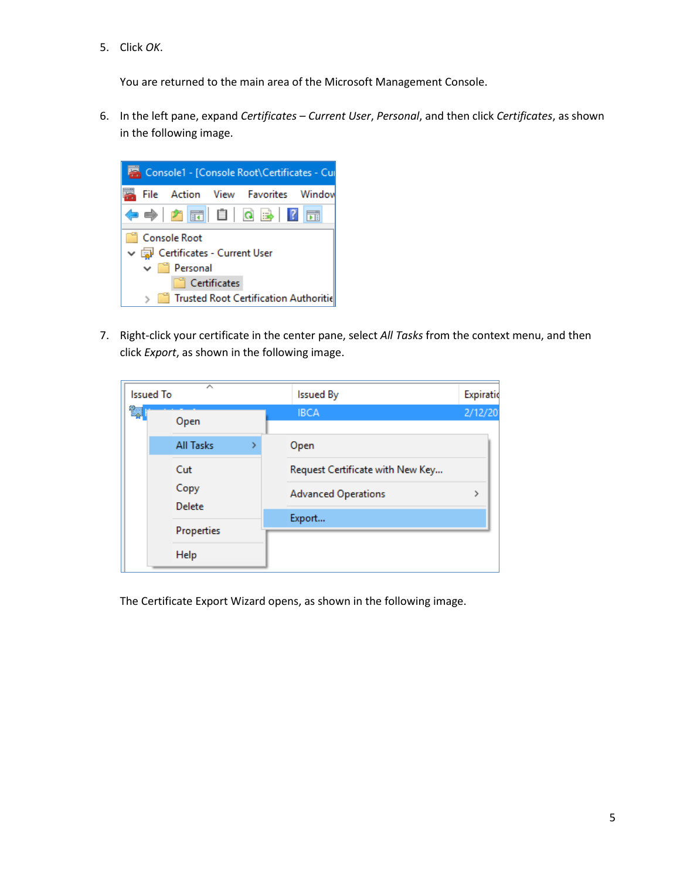5. Click *OK*.

You are returned to the main area of the Microsoft Management Console.

6. In the left pane, expand *Certificates – Current User*, *Personal*, and then click *Certificates*, as shown in the following image.



7. Right-click your certificate in the center pane, select *All Tasks* from the context menu, and then click *Export*, as shown in the following image.

| <b>Issued To</b> | ㅅ              |    | <b>Issued By</b>                 | Expiratio |
|------------------|----------------|----|----------------------------------|-----------|
| Ŷ.               | Open           |    | <b>IBCA</b>                      | 2/12/20   |
|                  | All Tasks      | Y. | Open                             |           |
|                  | Cut            |    | Request Certificate with New Key |           |
|                  | Copy<br>Delete |    | <b>Advanced Operations</b>       | >         |
|                  |                |    | Export                           |           |
|                  | Properties     |    |                                  |           |
|                  | Help           |    |                                  |           |

The Certificate Export Wizard opens, as shown in the following image.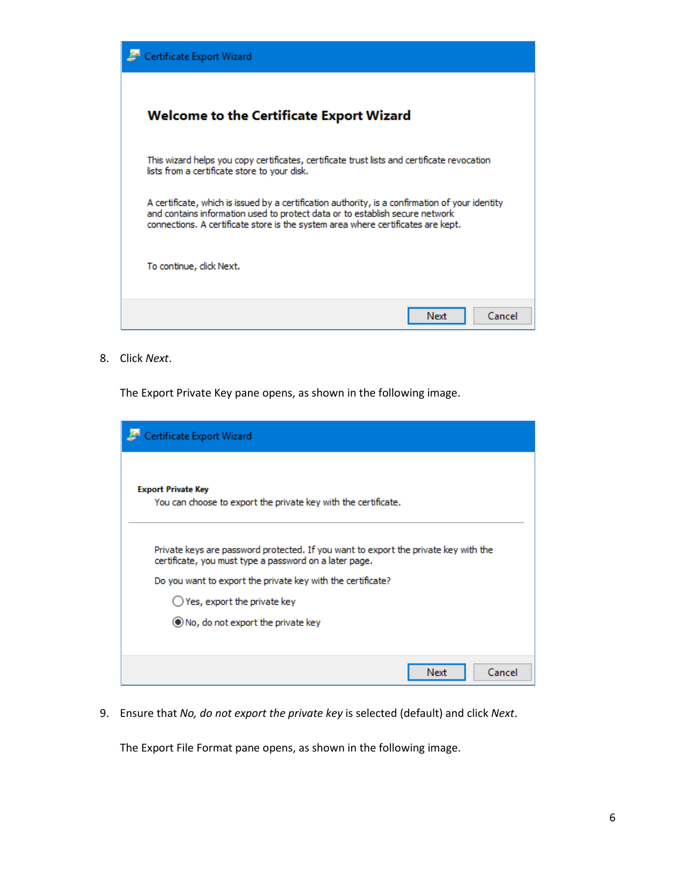| Certificate Export Wizard                                                                                                                                                                                                                                           |  |  |  |  |
|---------------------------------------------------------------------------------------------------------------------------------------------------------------------------------------------------------------------------------------------------------------------|--|--|--|--|
| Welcome to the Certificate Export Wizard                                                                                                                                                                                                                            |  |  |  |  |
| This wizard helps you copy certificates, certificate trust lists and certificate revocation<br>lists from a certificate store to your disk.                                                                                                                         |  |  |  |  |
| A certificate, which is issued by a certification authority, is a confirmation of your identity<br>and contains information used to protect data or to establish secure network<br>connections. A certificate store is the system area where certificates are kept. |  |  |  |  |
| To continue, click Next.                                                                                                                                                                                                                                            |  |  |  |  |
| Cancel<br>Next                                                                                                                                                                                                                                                      |  |  |  |  |

8. Click *Next*.

The Export Private Key pane opens, as shown in the following image.

| Certificate Export Wizard                                                                                                                     |
|-----------------------------------------------------------------------------------------------------------------------------------------------|
| <b>Export Private Key</b><br>You can choose to export the private key with the certificate.                                                   |
| Private keys are password protected. If you want to export the private key with the<br>certificate, you must type a password on a later page. |
| Do you want to export the private key with the certificate?                                                                                   |
| $\bigcirc$ Yes, export the private key                                                                                                        |
| (C) No, do not export the private key                                                                                                         |
|                                                                                                                                               |
| Cancel<br>Next                                                                                                                                |

9. Ensure that *No, do not export the private key* is selected (default) and click *Next*.

The Export File Format pane opens, as shown in the following image.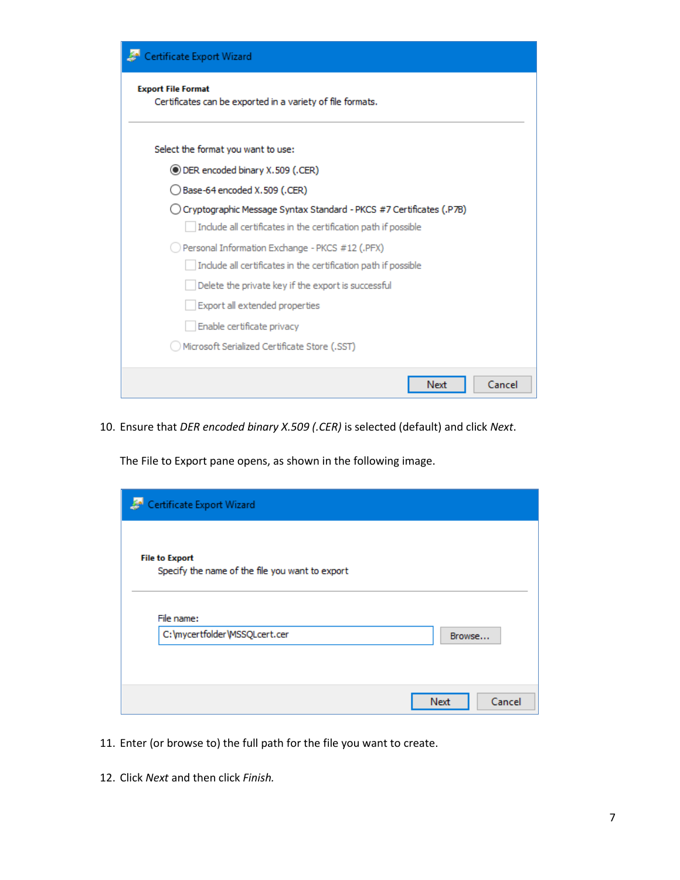| Certificate Export Wizard                                                               |  |  |  |  |  |
|-----------------------------------------------------------------------------------------|--|--|--|--|--|
| <b>Export File Format</b><br>Certificates can be exported in a variety of file formats. |  |  |  |  |  |
| Select the format you want to use:                                                      |  |  |  |  |  |
| (DER encoded binary X.509 (.CER)                                                        |  |  |  |  |  |
| Base-64 encoded X.509 (.CER)                                                            |  |  |  |  |  |
| (P7B). Cryptographic Message Syntax Standard - PKCS #7 Certificates (P7B)               |  |  |  |  |  |
| Include all certificates in the certification path if possible                          |  |  |  |  |  |
| Personal Information Exchange - PKCS #12 (.PFX)                                         |  |  |  |  |  |
| Include all certificates in the certification path if possible                          |  |  |  |  |  |
| Delete the private key if the export is successful                                      |  |  |  |  |  |
| Export all extended properties                                                          |  |  |  |  |  |
| Enable certificate privacy                                                              |  |  |  |  |  |
| Microsoft Serialized Certificate Store (.SST)                                           |  |  |  |  |  |
| Cancel<br>Next                                                                          |  |  |  |  |  |

10. Ensure that *DER encoded binary X.509 (.CER)* is selected (default) and click *Next*.

The File to Export pane opens, as shown in the following image.

| Certificate Export Wizard                                                |                |
|--------------------------------------------------------------------------|----------------|
| <b>File to Export</b><br>Specify the name of the file you want to export |                |
| File name:<br>C: \mycertfolder \MSSQLcert.cer                            | Browse         |
|                                                                          |                |
|                                                                          | Cancel<br>Next |

- 11. Enter (or browse to) the full path for the file you want to create.
- 12. Click *Next* and then click *Finish.*